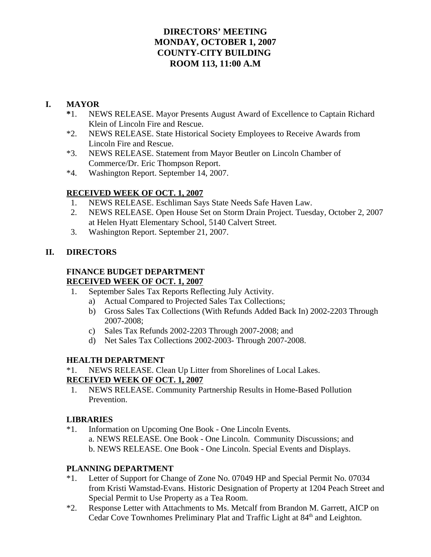## **DIRECTORS' MEETING MONDAY, OCTOBER 1, 2007 COUNTY-CITY BUILDING ROOM 113, 11:00 A.M**

## **I. MAYOR**

- **\***1. NEWS RELEASE. Mayor Presents August Award of Excellence to Captain Richard Klein of Lincoln Fire and Rescue.
- \*2. NEWS RELEASE. State Historical Society Employees to Receive Awards from Lincoln Fire and Rescue.
- \*3. NEWS RELEASE. Statement from Mayor Beutler on Lincoln Chamber of Commerce/Dr. Eric Thompson Report.
- \*4. Washington Report. September 14, 2007.

### **RECEIVED WEEK OF OCT. 1, 2007**

- 1. NEWS RELEASE. Eschliman Says State Needs Safe Haven Law.
- 2. NEWS RELEASE. Open House Set on Storm Drain Project. Tuesday, October 2, 2007 at Helen Hyatt Elementary School, 5140 Calvert Street.
- 3. Washington Report. September 21, 2007.

### **II. DIRECTORS**

#### **FINANCE BUDGET DEPARTMENT RECEIVED WEEK OF OCT. 1, 2007**

- 1. September Sales Tax Reports Reflecting July Activity.
	- a) Actual Compared to Projected Sales Tax Collections;
	- b) Gross Sales Tax Collections (With Refunds Added Back In) 2002-2203 Through 2007-2008;
	- c) Sales Tax Refunds 2002-2203 Through 2007-2008; and
	- d) Net Sales Tax Collections 2002-2003- Through 2007-2008.

## **HEALTH DEPARTMENT**

\*1. NEWS RELEASE. Clean Up Litter from Shorelines of Local Lakes.

#### **RECEIVED WEEK OF OCT. 1, 2007**

 1. NEWS RELEASE. Community Partnership Results in Home-Based Pollution Prevention.

## **LIBRARIES**

\*1. Information on Upcoming One Book - One Lincoln Events. a. NEWS RELEASE. One Book - One Lincoln. Community Discussions; and b. NEWS RELEASE. One Book - One Lincoln. Special Events and Displays.

#### **PLANNING DEPARTMENT**

- \*1. Letter of Support for Change of Zone No. 07049 HP and Special Permit No. 07034 from Kristi Wamstad-Evans. Historic Designation of Property at 1204 Peach Street and Special Permit to Use Property as a Tea Room.
- \*2. Response Letter with Attachments to Ms. Metcalf from Brandon M. Garrett, AICP on Cedar Cove Townhomes Preliminary Plat and Traffic Light at 84<sup>th</sup> and Leighton.